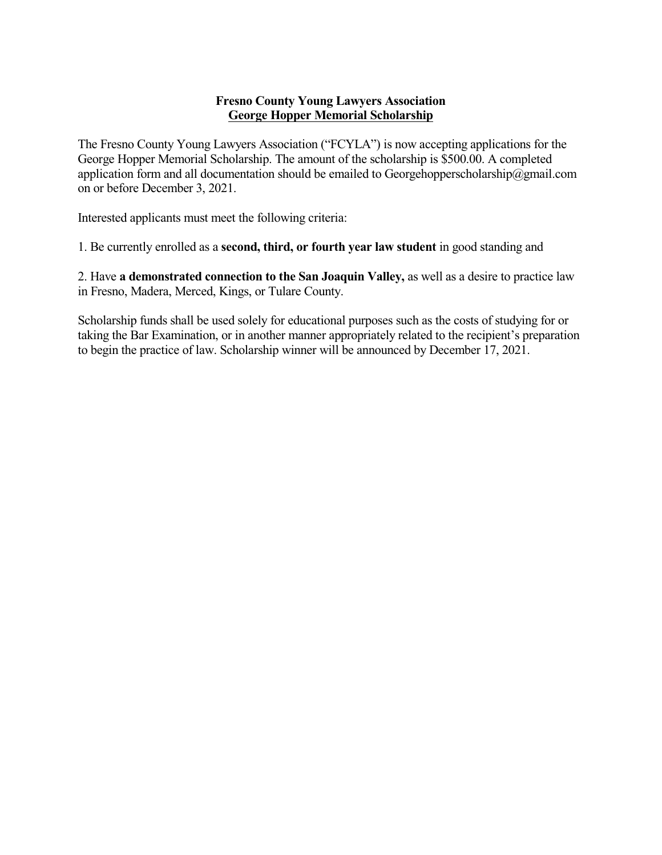## **Fresno County Young Lawyers Association George Hopper Memorial Scholarship**

The Fresno County Young Lawyers Association ("FCYLA") is now accepting applications for the George Hopper Memorial Scholarship. The amount of the scholarship is \$500.00. A completed application form and all documentation should be emailed to Georgehopperscholarship@gmail.com on or before December 3, 2021.

Interested applicants must meet the following criteria:

1. Be currently enrolled as a **second, third, or fourth year law student** in good standing and

2. Have **a demonstrated connection to the San Joaquin Valley,** as well as a desire to practice law in Fresno, Madera, Merced, Kings, or Tulare County.

Scholarship funds shall be used solely for educational purposes such as the costs of studying for or taking the Bar Examination, or in another manner appropriately related to the recipient's preparation to begin the practice of law. Scholarship winner will be announced by December 17, 2021.